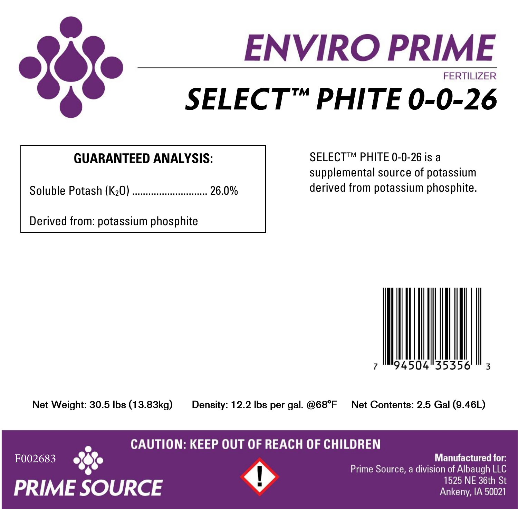

# **ENVIRO PRIME FFRTILIZER** SELECT™ PHITE 0-0-26

## **GUARANTEED ANALYSIS:**

Soluble Potash (K<sub>2</sub>O) ............................... 26.0%

Derived from: potassium phosphite

SELECT™ PHITE 0-0-26 is a supplemental source of potassium derived from potassium phosphite.



Net Weight: 30.5 lbs (13.83kg)

Density: 12.2 lbs per gal. @68°F

Net Contents: 2.5 Gal (9.46L)

### **CAUTION: KEEP OUT OF REACH OF CHILDREN**





**Manufactured for:** Prime Source, a division of Albaugh LLC 1525 NF 36th St Ankeny, IA 50021